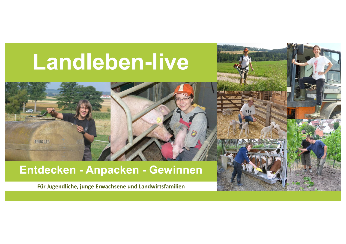# **Landleben-live**

## Entdecken - Anpacken - Gewinnen

1000 Ltr.

Für Jugendliche, junge Erwachsene und Landwirtsfamilien

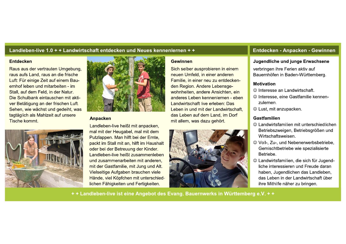#### Landleben-live 1.0 + + Landwirtschaft entdecken und Neues kennenlernen + +

#### **Entdecken**

Raus aus der vertrauten Umgebung, raus aufs Land, raus an die frische Luft: Für einige Zeit auf einem Bauernhof leben und mitarbeiten - im Stall, auf dem Feld, in der Natur. Die Schulbank eintauschen mit aktiver Betätigung an der frischen Luft. Sehen, wie wächst und gedeiht, was tagtäglich als Mahlzeit auf unsere Tische kommt.





#### **Anpacken**

Landleben-live heißt mit anpacken, mal mit der Heugabel, mal mit dem Putzlappen. Man hilft bei der Ernte, packt im Stall mit an, hilft im Haushalt oder bei der Betreuung der Kinder. Landleben-live heißt zusammenleben und zusammenarbeiten mit anderen. mit der Gastfamilie, mit Jung und Alt. Vielseitige Aufgaben brauchen viele Hände, viel Köpfchen mit unterschiedlichen Fähigkeiten und Fertigkeiten.

#### **Gewinnen**

Sich selber ausprobieren in einem neuen Umfeld, in einer anderen Familie, in einer neu zu entdeckenden Region. Andere Lebensgewohnheiten, andere Ansichten, ein anderes I eben kennenlernen - eben Landwirtschaft live erleben: Das Leben in und mit der Landwirtschaft. das Leben auf dem Land, im Dorf mit allem, was dazu gehört.



#### Entdecken - Anpacken - Gewinnen

#### Jugendliche und junge Erwachsene

verbringen ihre Ferien aktiv auf Bauernhöfen in Baden-Württemberg.

#### **Motivation**

- © Interesse an Landwirtschaft.
- © Interesse, eine Gastfamilie kennenzulernen.
- © Lust, mit anzupacken.

#### Gastfamilien

- © Landwirtsfamilien mit unterschiedlichen Betriebszweigen, Betriebsgrößen und Wirtschaftsweisen.
- © Voll-, Zu-, und Nebenerwerbsbetriebe, Gemischtbetriebe wie spezialisierte Betriebe.
- © Landwirtsfamilien, die sich für Jugendliche interessieren und Freude daran haben, Jugendlichen das Landleben, das Leben in der Landwirtschaft über ihre Mithilfe näher zu bringen.

+ + Landleben-live ist eine Angebot des Evang. Bauernwerks in Württemberg e.V. + +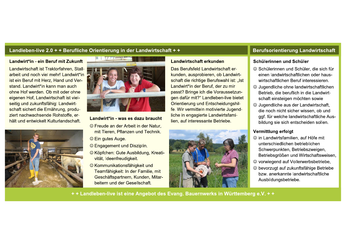#### Landleben-live 2.0 + + Berufliche Orientierung in der Landwirtschaft + +

#### Landwirt\*in - ein Beruf mit Zukunft

Landwirtschaft ist Traktorfahren. Stallarbeit und noch viel mehr! Landwirt\*in ist ein Beruf mit Herz. Hand und Verstand. Landwirt\*in kann man auch ohne Hof werden. Ob mit oder ohne eigenen Hof, Landwirtschaft ist vielseitig und zukunftsfähig: Landwirtschaft sichert die Ernährung, produziert nachwachsende Rohstoffe, erhält und entwickelt Kulturlandschaft.





Landwirt\*in - was es dazu braucht

- © Freude an der Arbeit in der Natur. mit Tieren, Pflanzen und Technik. © Ein gutes Auge.
- © Engagement und Disziplin.
- © Köpfchen: Gute Ausbildung, Kreativität, Ideenfreudigkeit.
- © Kommunikationsfähigkeit und Teamfähigkeit: In der Familie, mit Geschäftspartnern, Kunden, Mitarbeitern und der Gesellschaft.

#### Landwirtschaft erkunden

Das Berufsfeld Landwirtschaft erkunden, ausprobieren, ob Landwirtschaft die richtige Berufswahl ist: "Ist Landwirt\*in der Beruf, der zu mir passt? Bringe ich die Voraussetzungen dafür mit?" Landleben-live bietet Orientierung und Entscheidungshilfe. Wir vermitteln motivierte Jugendliche in engagierte Landwirtsfamilien, auf interessante Betriebe.



#### **Berufsorientierung Landwirtschaft**

#### Schülerinnen und Schüler

- © Schülerinnen und Schüler, die sich für einen landwirtschaftlichen oder hauswirtschaftlichen Beruf interessieren.
- © Jugendliche ohne landwirtschaftlichen Betrieb, die beruflich in die Landwirtschaft einsteigen möchten sowie
- © Jugendliche aus der Landwirtschaft, die noch nicht sicher wissen, ob und ggf. für welche landwirtschaftliche Ausbildung sie sich entscheiden sollen.

#### Vermittlung erfolgt

- © in Landwirtsfamilien, auf Höfe mit unterschiedlichen betrieblichen Schwerpunkten, Betriebszweigen, Betriebsgrößen und Wirtschaftsweisen,
- © vorwiegend auf Vollerwerbsbetriebe,
- © bevorzugt auf zukunftsfähige Betriebe bzw. anerkannte landwirtschaftliche Ausbildungsbetriebe.

+ + Landleben-live ist eine Angebot des Evang. Bauernwerks in Württemberg e.V. + +